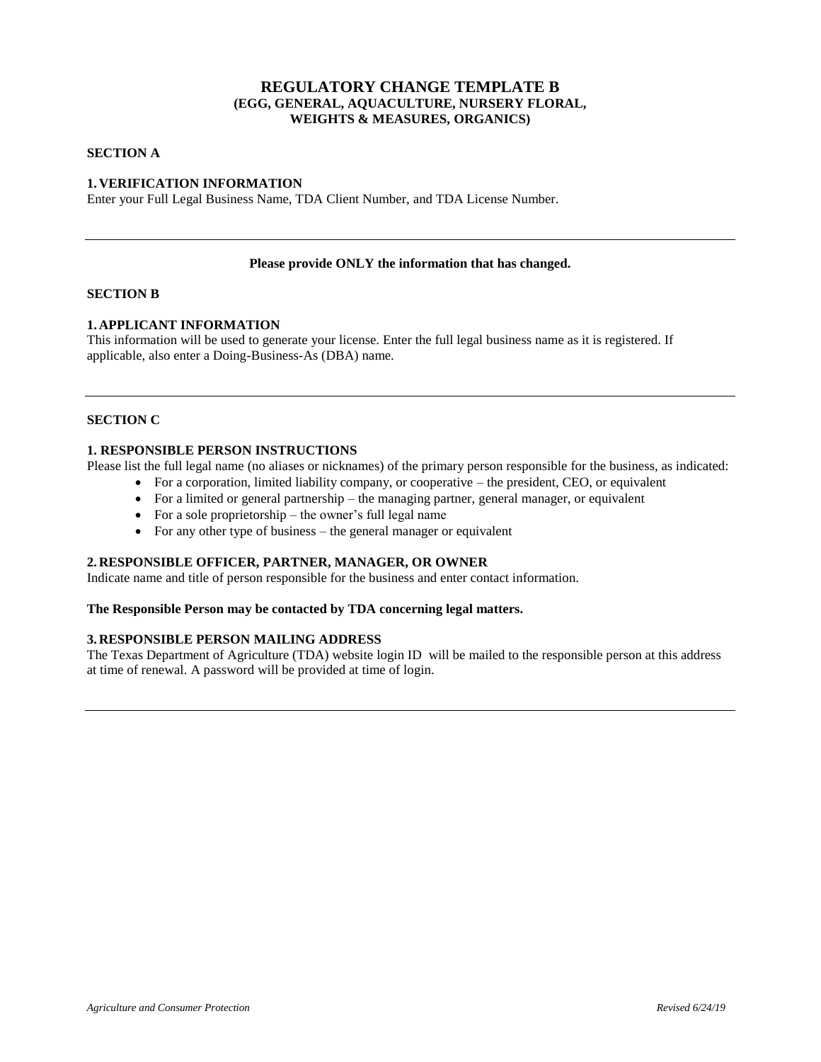# **REGULATORY CHANGE TEMPLATE B (EGG, GENERAL, AQUACULTURE, NURSERY FLORAL, WEIGHTS & MEASURES, ORGANICS)**

## **SECTION A**

## **1. VERIFICATION INFORMATION**

Enter your Full Legal Business Name, TDA Client Number, and TDA License Number.

#### **Please provide ONLY the information that has changed.**

### **SECTION B**

## **1. APPLICANT INFORMATION**

This information will be used to generate your license. Enter the full legal business name as it is registered. If applicable, also enter a Doing-Business-As (DBA) name.

# **SECTION C**

# **1. RESPONSIBLE PERSON INSTRUCTIONS**

Please list the full legal name (no aliases or nicknames) of the primary person responsible for the business, as indicated:

- For a corporation, limited liability company, or cooperative the president, CEO, or equivalent
- For a limited or general partnership the managing partner, general manager, or equivalent
- For a sole proprietorship the owner's full legal name
- For any other type of business the general manager or equivalent

#### **2. RESPONSIBLE OFFICER, PARTNER, MANAGER, OR OWNER**

Indicate name and title of person responsible for the business and enter contact information.

#### **The Responsible Person may be contacted by TDA concerning legal matters.**

### **3. RESPONSIBLE PERSON MAILING ADDRESS**

The Texas Department of Agriculture (TDA) website login ID will be mailed to the responsible person at this address at time of renewal. A password will be provided at time of login.